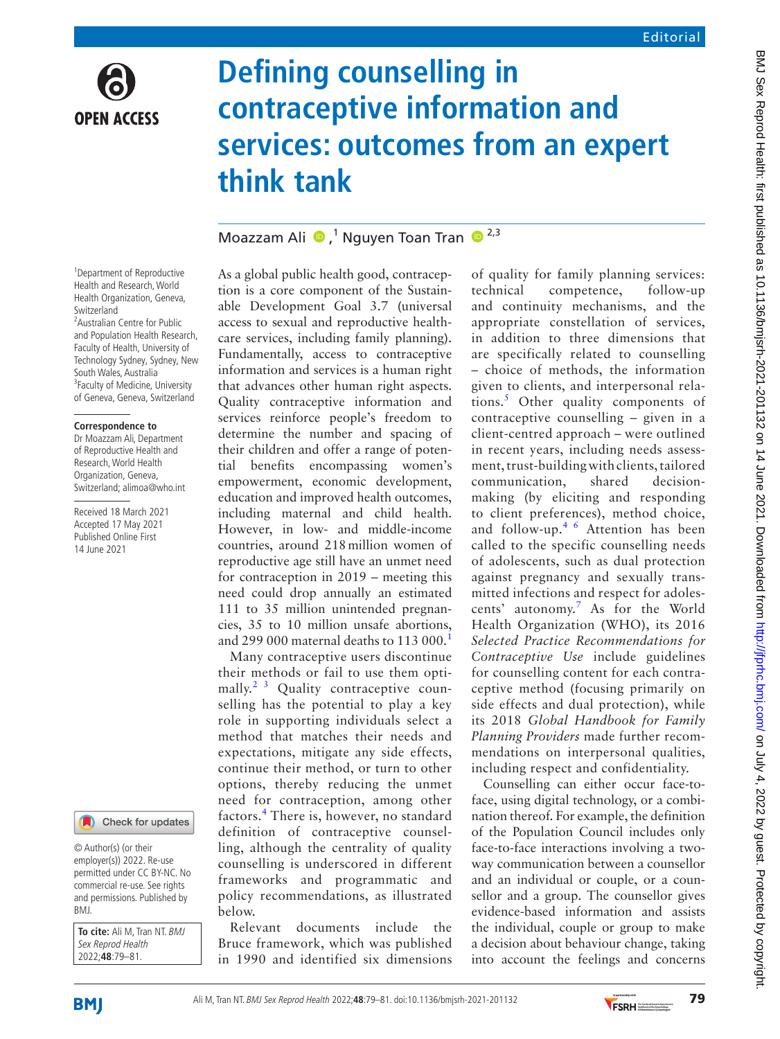

# **Defining counselling in contraceptive information and services: outcomes from an expert think tank**

## Moazzam Ali  $\bullet$ ,<sup>1</sup> Nguyen Toan Tran  $\bullet$ <sup>2,3</sup>

1 Department of Reproductive Health and Research, World Health Organization, Geneva, Switzerland <sup>2</sup> Australian Centre for Public and Population Health Research, Faculty of Health, University of Technology Sydney, Sydney, New South Wales, Australia <sup>3</sup> Faculty of Medicine, University of Geneva, Geneva, Switzerland

#### **Correspondence to**

Dr Moazzam Ali, Department of Reproductive Health and Research, World Health Organization, Geneva, Switzerland; alimoa@who.int

Received 18 March 2021 Accepted 17 May 2021 Published Online First 14 June 2021



© Author(s) (or their employer(s)) 2022. Re-use permitted under CC BY-NC. No commercial re-use. See rights and permissions. Published by BMJ.

**To cite:** Ali M, Tran NT. BMJ Sex Reprod Health 2022;**48**:79–81.

As a global public health good, contraception is a core component of the Sustainable Development Goal 3.7 (universal access to sexual and reproductive healthcare services, including family planning). Fundamentally, access to contraceptive information and services is a human right that advances other human right aspects. Quality contraceptive information and services reinforce people's freedom to determine the number and spacing of their children and offer a range of potential benefits encompassing women's empowerment, economic development, education and improved health outcomes, including maternal and child health. However, in low- and middle-income countries, around 218million women of reproductive age still have an unmet need for contraception in 2019 – meeting this need could drop annually an estimated 111 to 35 million unintended pregnancies, 35 to 10 million unsafe abortions, and 299 000 maternal deaths to [1](#page-1-0)13 000.<sup>1</sup>

Many contraceptive users discontinue their methods or fail to use them opti-mally.<sup>[2 3](#page-1-1)</sup> Quality contraceptive counselling has the potential to play a key role in supporting individuals select a method that matches their needs and expectations, mitigate any side effects, continue their method, or turn to other options, thereby reducing the unmet need for contraception, among other factors.<sup>[4](#page-1-2)</sup> There is, however, no standard definition of contraceptive counselling, although the centrality of quality counselling is underscored in different frameworks and programmatic and policy recommendations, as illustrated below.

Relevant documents include the Bruce framework, which was published in 1990 and identified six dimensions of quality for family planning services: technical competence, follow-up and continuity mechanisms, and the appropriate constellation of services, in addition to three dimensions that are specifically related to counselling – choice of methods, the information given to clients, and interpersonal rela-tions.<sup>[5](#page-1-3)</sup> Other quality components of contraceptive counselling – given in a client-centred approach – were outlined in recent years, including needs assessment, trust-building with clients, tailored communication, shared decisionmaking (by eliciting and responding to client preferences), method choice, and follow-up.[4 6](#page-1-2) Attention has been called to the specific counselling needs of adolescents, such as dual protection against pregnancy and sexually transmitted infections and respect for adolescents' autonomy.[7](#page-2-0) As for the World Health Organization (WHO), its 2016 *Selected Practice Recommendations for Contraceptive Use* include guidelines for counselling content for each contraceptive method (focusing primarily on side effects and dual protection), while its 2018 *Global Handbook for Family Planning Providers* made further recommendations on interpersonal qualities, including respect and confidentiality.

Counselling can either occur face-toface, using digital technology, or a combination thereof. For example, the definition of the Population Council includes only face-to-face interactions involving a twoway communication between a counsellor and an individual or couple, or a counsellor and a group. The counsellor gives evidence-based information and assists the individual, couple or group to make a decision about behaviour change, taking into account the feelings and concerns

**BMI** 

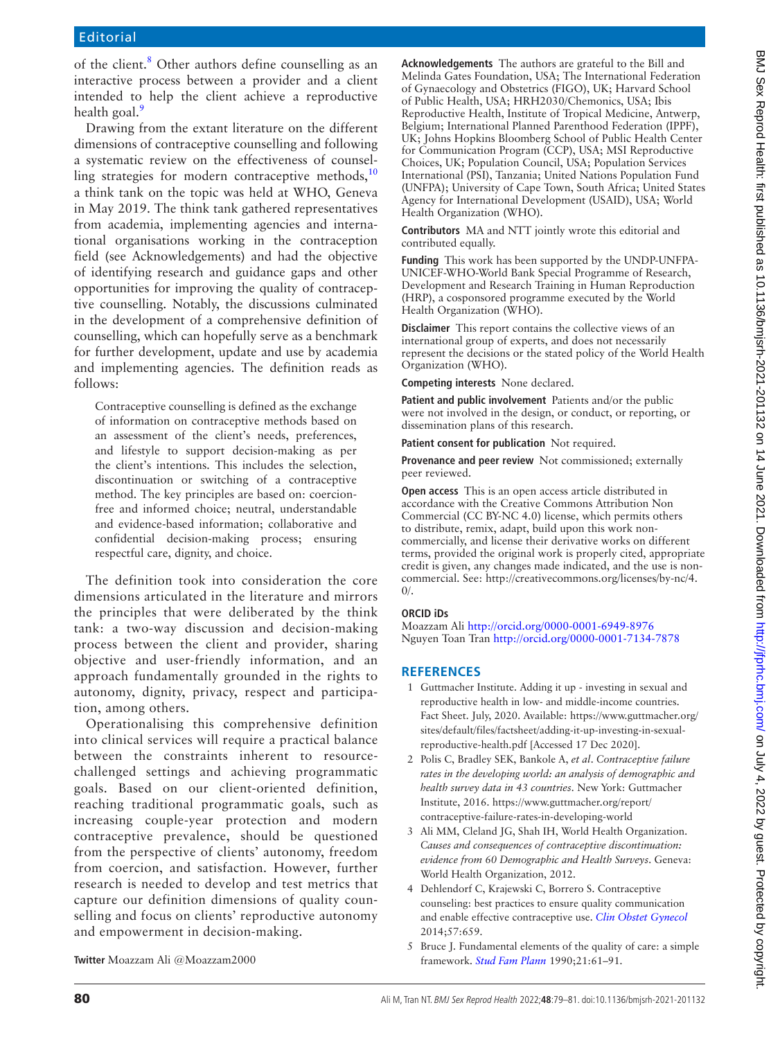of the client.<sup>8</sup> Other authors define counselling as an interactive process between a provider and a client intended to help the client achieve a reproductive health goal.<sup>[9](#page-2-2)</sup>

Drawing from the extant literature on the different dimensions of contraceptive counselling and following a systematic review on the effectiveness of counselling strategies for modern contraceptive methods, $10$ a think tank on the topic was held at WHO, Geneva in May 2019. The think tank gathered representatives from academia, implementing agencies and international organisations working in the contraception field (see Acknowledgements) and had the objective of identifying research and guidance gaps and other opportunities for improving the quality of contraceptive counselling. Notably, the discussions culminated in the development of a comprehensive definition of counselling, which can hopefully serve as a benchmark for further development, update and use by academia and implementing agencies. The definition reads as follows:

Contraceptive counselling is defined as the exchange of information on contraceptive methods based on an assessment of the client's needs, preferences, and lifestyle to support decision-making as per the client's intentions. This includes the selection, discontinuation or switching of a contraceptive method. The key principles are based on: coercionfree and informed choice; neutral, understandable and evidence-based information; collaborative and confidential decision-making process; ensuring respectful care, dignity, and choice.

The definition took into consideration the core dimensions articulated in the literature and mirrors the principles that were deliberated by the think tank: a two-way discussion and decision-making process between the client and provider, sharing objective and user-friendly information, and an approach fundamentally grounded in the rights to autonomy, dignity, privacy, respect and participation, among others.

Operationalising this comprehensive definition into clinical services will require a practical balance between the constraints inherent to resourcechallenged settings and achieving programmatic goals. Based on our client-oriented definition, reaching traditional programmatic goals, such as increasing couple-year protection and modern contraceptive prevalence, should be questioned from the perspective of clients' autonomy, freedom from coercion, and satisfaction. However, further research is needed to develop and test metrics that capture our definition dimensions of quality counselling and focus on clients' reproductive autonomy and empowerment in decision-making.

**Acknowledgements** The authors are grateful to the Bill and Melinda Gates Foundation, USA; The International Federation of Gynaecology and Obstetrics (FIGO), UK; Harvard School of Public Health, USA; HRH2030/Chemonics, USA; Ibis Reproductive Health, Institute of Tropical Medicine, Antwerp, Belgium; International Planned Parenthood Federation (IPPF), UK; Johns Hopkins Bloomberg School of Public Health Center for Communication Program (CCP), USA; MSI Reproductive Choices, UK; Population Council, USA; Population Services International (PSI), Tanzania; United Nations Population Fund (UNFPA); University of Cape Town, South Africa; United States Agency for International Development (USAID), USA; World Health Organization (WHO).

**Contributors** MA and NTT jointly wrote this editorial and contributed equally.

**Funding** This work has been supported by the UNDP-UNFPA-UNICEF-WHO-World Bank Special Programme of Research, Development and Research Training in Human Reproduction (HRP), a cosponsored programme executed by the World Health Organization (WHO).

**Disclaimer** This report contains the collective views of an international group of experts, and does not necessarily represent the decisions or the stated policy of the World Health Organization (WHO).

**Competing interests** None declared.

**Patient and public involvement** Patients and/or the public were not involved in the design, or conduct, or reporting, or dissemination plans of this research.

**Patient consent for publication** Not required.

**Provenance and peer review** Not commissioned; externally peer reviewed.

**Open access** This is an open access article distributed in accordance with the Creative Commons Attribution Non Commercial (CC BY-NC 4.0) license, which permits others to distribute, remix, adapt, build upon this work noncommercially, and license their derivative works on different terms, provided the original work is properly cited, appropriate credit is given, any changes made indicated, and the use is noncommercial. See: [http://creativecommons.org/licenses/by-nc/4.](http://creativecommons.org/licenses/by-nc/4.0/)  $0/$ .

#### **ORCID iDs**

Moazzam Ali<http://orcid.org/0000-0001-6949-8976> Nguyen Toan Tran <http://orcid.org/0000-0001-7134-7878>

### **REFERENCES**

- <span id="page-1-0"></span>1 Guttmacher Institute. Adding it up - investing in sexual and reproductive health in low- and middle-income countries. Fact Sheet. July, 2020. Available: [https://www.guttmacher.org/](https://www.guttmacher.org/sites/default/files/factsheet/adding-it-up-investing-in-sexual-reproductive-health.pdf) [sites/default/files/factsheet/adding-it-up-investing-in-sexual](https://www.guttmacher.org/sites/default/files/factsheet/adding-it-up-investing-in-sexual-reproductive-health.pdf)[reproductive-health.pdf](https://www.guttmacher.org/sites/default/files/factsheet/adding-it-up-investing-in-sexual-reproductive-health.pdf) [Accessed 17 Dec 2020].
- <span id="page-1-1"></span>2 Polis C, Bradley SEK, Bankole A, *et al*. *Contraceptive failure rates in the developing world: an analysis of demographic and health survey data in 43 countries*. New York: Guttmacher Institute, 2016. [https://www.guttmacher.org/report/](https://www.guttmacher.org/report/contraceptive-failure-rates-in-developing-world) [contraceptive-failure-rates-in-developing-world](https://www.guttmacher.org/report/contraceptive-failure-rates-in-developing-world)
- 3 Ali MM, Cleland JG, Shah IH, World Health Organization. *Causes and consequences of contraceptive discontinuation: evidence from 60 Demographic and Health Surveys*. Geneva: World Health Organization, 2012.
- <span id="page-1-2"></span>4 Dehlendorf C, Krajewski C, Borrero S. Contraceptive counseling: best practices to ensure quality communication and enable effective contraceptive use. *[Clin Obstet Gynecol](http://dx.doi.org/10.1097/GRF.0000000000000059)* 2014;57:659.
- <span id="page-1-3"></span>5 Bruce J. Fundamental elements of the quality of care: a simple framework. *[Stud Fam Plann](http://dx.doi.org/10.2307/1966669)* 1990;21:61–91.

**Twitter** Moazzam Ali [@Moazzam2000](https://twitter.com/Moazzam2000)